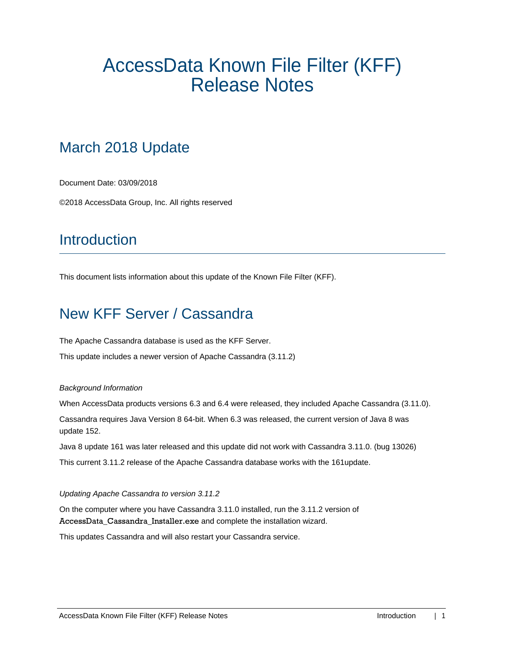# AccessData Known File Filter (KFF) Release Notes

# March 2018 Update

Document Date: 03/09/2018

©2018 AccessData Group, Inc. All rights reserved

## **Introduction**

This document lists information about this update of the Known File Filter (KFF).

# New KFF Server / Cassandra

The Apache Cassandra database is used as the KFF Server.

This update includes a newer version of Apache Cassandra (3.11.2)

#### *Background Information*

When AccessData products versions 6.3 and 6.4 were released, they included Apache Cassandra (3.11.0).

Cassandra requires Java Version 8 64-bit. When 6.3 was released, the current version of Java 8 was update 152.

Java 8 update 161 was later released and this update did not work with Cassandra 3.11.0. (bug 13026)

This current 3.11.2 release of the Apache Cassandra database works with the 161update.

#### *Updating Apache Cassandra to version 3.11.2*

On the computer where you have Cassandra 3.11.0 installed, run the 3.11.2 version of AccessData\_Cassandra\_Installer.exe and complete the installation wizard.

This updates Cassandra and will also restart your Cassandra service.